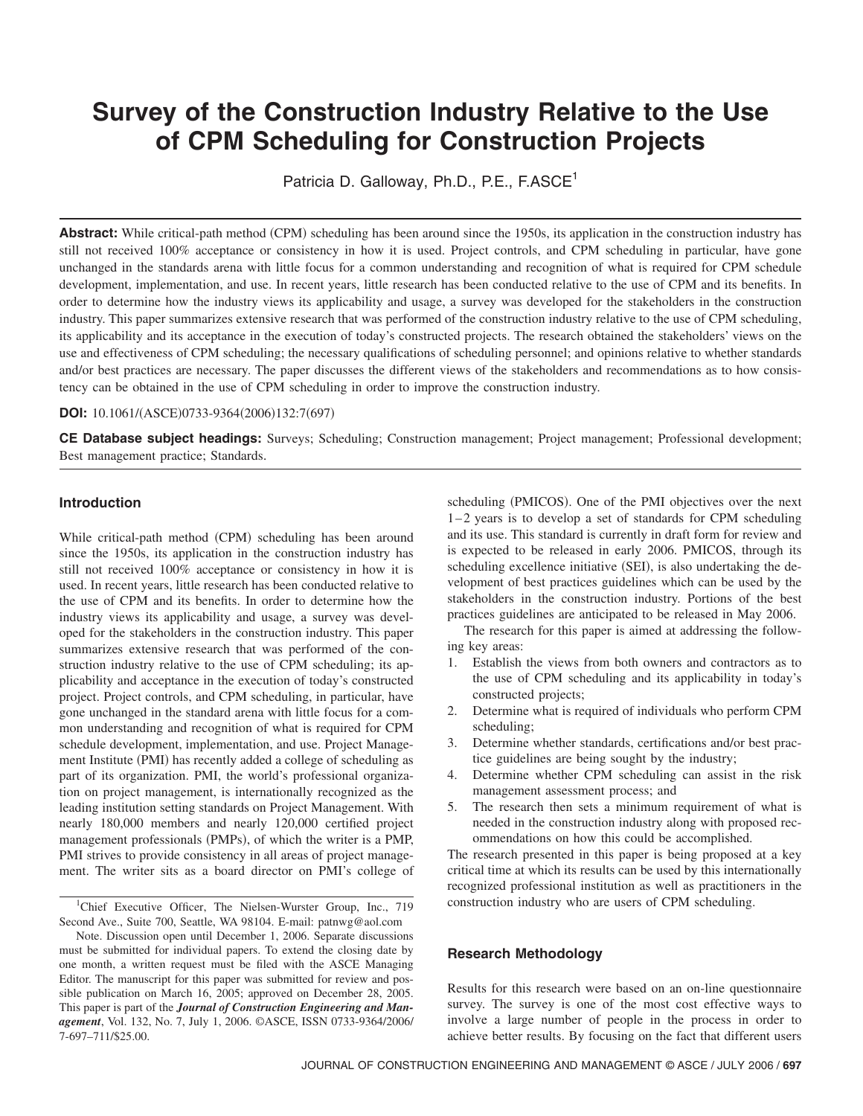# **Survey of the Construction Industry Relative to the Use of CPM Scheduling for Construction Projects**

Patricia D. Galloway, Ph.D., P.E., F.ASCE<sup>1</sup>

Abstract: While critical-path method (CPM) scheduling has been around since the 1950s, its application in the construction industry has still not received 100% acceptance or consistency in how it is used. Project controls, and CPM scheduling in particular, have gone unchanged in the standards arena with little focus for a common understanding and recognition of what is required for CPM schedule development, implementation, and use. In recent years, little research has been conducted relative to the use of CPM and its benefits. In order to determine how the industry views its applicability and usage, a survey was developed for the stakeholders in the construction industry. This paper summarizes extensive research that was performed of the construction industry relative to the use of CPM scheduling, its applicability and its acceptance in the execution of today's constructed projects. The research obtained the stakeholders' views on the use and effectiveness of CPM scheduling; the necessary qualifications of scheduling personnel; and opinions relative to whether standards and/or best practices are necessary. The paper discusses the different views of the stakeholders and recommendations as to how consistency can be obtained in the use of CPM scheduling in order to improve the construction industry.

#### **DOI:** 10.1061/(ASCE)0733-9364(2006)132:7(697)

**CE Database subject headings:** Surveys; Scheduling; Construction management; Project management; Professional development; Best management practice; Standards.

## **Introduction**

While critical-path method (CPM) scheduling has been around since the 1950s, its application in the construction industry has still not received 100% acceptance or consistency in how it is used. In recent years, little research has been conducted relative to the use of CPM and its benefits. In order to determine how the industry views its applicability and usage, a survey was developed for the stakeholders in the construction industry. This paper summarizes extensive research that was performed of the construction industry relative to the use of CPM scheduling; its applicability and acceptance in the execution of today's constructed project. Project controls, and CPM scheduling, in particular, have gone unchanged in the standard arena with little focus for a common understanding and recognition of what is required for CPM schedule development, implementation, and use. Project Management Institute (PMI) has recently added a college of scheduling as part of its organization. PMI, the world's professional organization on project management, is internationally recognized as the leading institution setting standards on Project Management. With nearly 180,000 members and nearly 120,000 certified project management professionals (PMPs), of which the writer is a PMP, PMI strives to provide consistency in all areas of project management. The writer sits as a board director on PMI's college of

<sup>1</sup>Chief Executive Officer, The Nielsen-Wurster Group, Inc., 719 Second Ave., Suite 700, Seattle, WA 98104. E-mail: patnwg@aol.com

Note. Discussion open until December 1, 2006. Separate discussions must be submitted for individual papers. To extend the closing date by one month, a written request must be filed with the ASCE Managing Editor. The manuscript for this paper was submitted for review and possible publication on March 16, 2005; approved on December 28, 2005. This paper is part of the *Journal of Construction Engineering and Management*, Vol. 132, No. 7, July 1, 2006. ©ASCE, ISSN 0733-9364/2006/ 7-697–711/\$25.00.

scheduling (PMICOS). One of the PMI objectives over the next 1-2 years is to develop a set of standards for CPM scheduling and its use. This standard is currently in draft form for review and is expected to be released in early 2006. PMICOS, through its scheduling excellence initiative (SEI), is also undertaking the development of best practices guidelines which can be used by the stakeholders in the construction industry. Portions of the best practices guidelines are anticipated to be released in May 2006.

The research for this paper is aimed at addressing the following key areas:

- 1. Establish the views from both owners and contractors as to the use of CPM scheduling and its applicability in today's constructed projects;
- 2. Determine what is required of individuals who perform CPM scheduling;
- 3. Determine whether standards, certifications and/or best practice guidelines are being sought by the industry;
- 4. Determine whether CPM scheduling can assist in the risk management assessment process; and
- 5. The research then sets a minimum requirement of what is needed in the construction industry along with proposed recommendations on how this could be accomplished.

The research presented in this paper is being proposed at a key critical time at which its results can be used by this internationally recognized professional institution as well as practitioners in the construction industry who are users of CPM scheduling.

## **Research Methodology**

Results for this research were based on an on-line questionnaire survey. The survey is one of the most cost effective ways to involve a large number of people in the process in order to achieve better results. By focusing on the fact that different users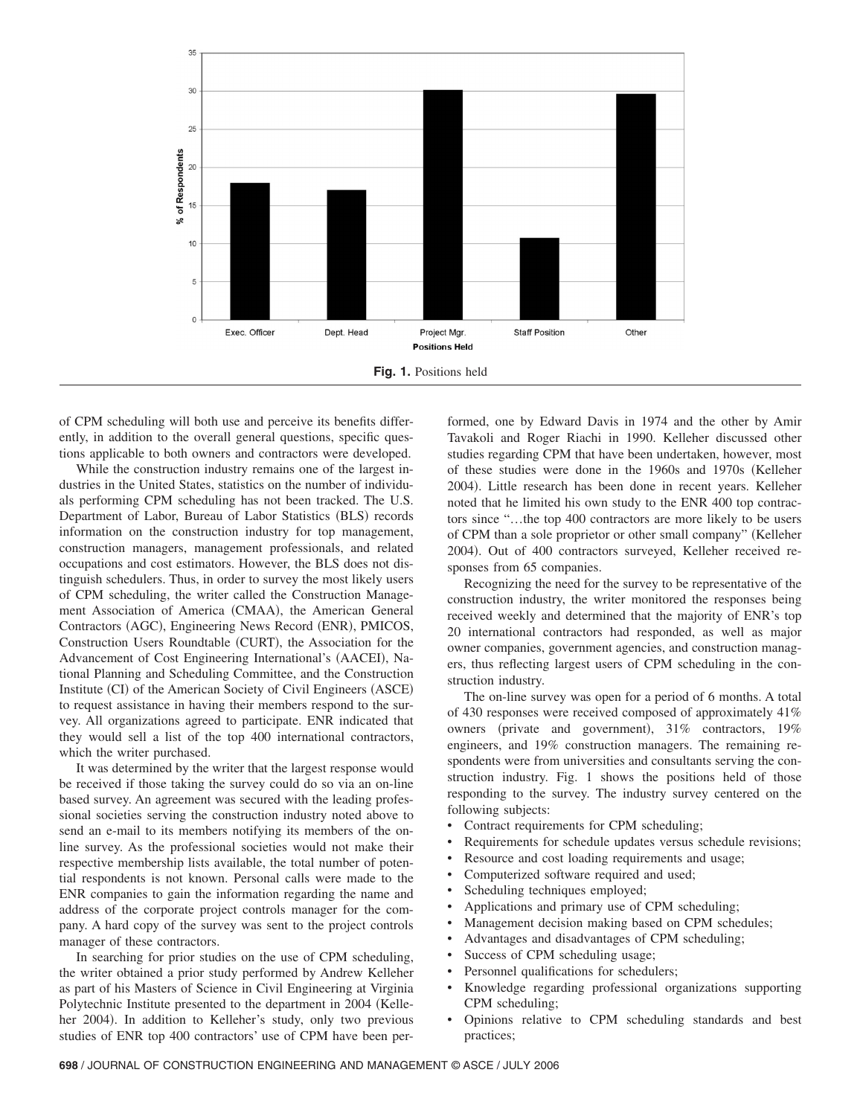

of CPM scheduling will both use and perceive its benefits differently, in addition to the overall general questions, specific questions applicable to both owners and contractors were developed.

While the construction industry remains one of the largest industries in the United States, statistics on the number of individuals performing CPM scheduling has not been tracked. The U.S. Department of Labor, Bureau of Labor Statistics (BLS) records information on the construction industry for top management, construction managers, management professionals, and related occupations and cost estimators. However, the BLS does not distinguish schedulers. Thus, in order to survey the most likely users of CPM scheduling, the writer called the Construction Management Association of America (CMAA), the American General Contractors (AGC), Engineering News Record (ENR), PMICOS, Construction Users Roundtable (CURT), the Association for the Advancement of Cost Engineering International's (AACEI), National Planning and Scheduling Committee, and the Construction Institute (CI) of the American Society of Civil Engineers (ASCE) to request assistance in having their members respond to the survey. All organizations agreed to participate. ENR indicated that they would sell a list of the top 400 international contractors, which the writer purchased.

It was determined by the writer that the largest response would be received if those taking the survey could do so via an on-line based survey. An agreement was secured with the leading professional societies serving the construction industry noted above to send an e-mail to its members notifying its members of the online survey. As the professional societies would not make their respective membership lists available, the total number of potential respondents is not known. Personal calls were made to the ENR companies to gain the information regarding the name and address of the corporate project controls manager for the company. A hard copy of the survey was sent to the project controls manager of these contractors.

In searching for prior studies on the use of CPM scheduling, the writer obtained a prior study performed by Andrew Kelleher as part of his Masters of Science in Civil Engineering at Virginia Polytechnic Institute presented to the department in 2004 (Kelleher 2004). In addition to Kelleher's study, only two previous studies of ENR top 400 contractors' use of CPM have been per-

formed, one by Edward Davis in 1974 and the other by Amir Tavakoli and Roger Riachi in 1990. Kelleher discussed other studies regarding CPM that have been undertaken, however, most of these studies were done in the 1960s and 1970s Kelleher 2004). Little research has been done in recent years. Kelleher noted that he limited his own study to the ENR 400 top contractors since "...the top 400 contractors are more likely to be users of CPM than a sole proprietor or other small company" Kelleher 2004). Out of 400 contractors surveyed, Kelleher received responses from 65 companies.

Recognizing the need for the survey to be representative of the construction industry, the writer monitored the responses being received weekly and determined that the majority of ENR's top 20 international contractors had responded, as well as major owner companies, government agencies, and construction managers, thus reflecting largest users of CPM scheduling in the construction industry.

The on-line survey was open for a period of 6 months. A total of 430 responses were received composed of approximately 41% owners (private and government), 31% contractors, 19% engineers, and 19% construction managers. The remaining respondents were from universities and consultants serving the construction industry. Fig. 1 shows the positions held of those responding to the survey. The industry survey centered on the following subjects:

- Contract requirements for CPM scheduling;
- Requirements for schedule updates versus schedule revisions;
- Resource and cost loading requirements and usage;
- Computerized software required and used;
- Scheduling techniques employed;
- Applications and primary use of CPM scheduling;
- Management decision making based on CPM schedules;
- Advantages and disadvantages of CPM scheduling;
- Success of CPM scheduling usage;
- Personnel qualifications for schedulers;
- Knowledge regarding professional organizations supporting CPM scheduling;
- Opinions relative to CPM scheduling standards and best practices;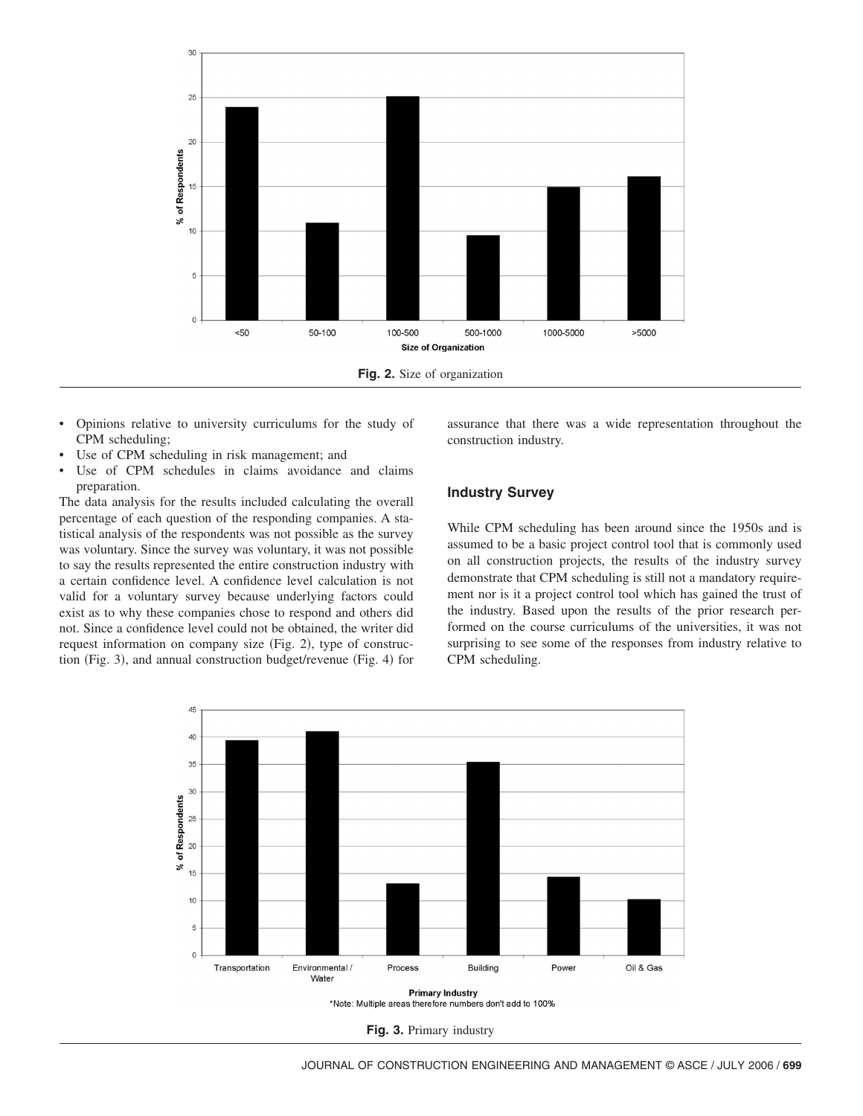

- Opinions relative to university curriculums for the study of CPM scheduling;
- Use of CPM scheduling in risk management; and
- Use of CPM schedules in claims avoidance and claims preparation.

The data analysis for the results included calculating the overall percentage of each question of the responding companies. A statistical analysis of the respondents was not possible as the survey was voluntary. Since the survey was voluntary, it was not possible to say the results represented the entire construction industry with a certain confidence level. A confidence level calculation is not valid for a voluntary survey because underlying factors could exist as to why these companies chose to respond and others did not. Since a confidence level could not be obtained, the writer did request information on company size (Fig. 2), type of construction (Fig. 3), and annual construction budget/revenue (Fig. 4) for

assurance that there was a wide representation throughout the construction industry.

### **Industry Survey**

While CPM scheduling has been around since the 1950s and is assumed to be a basic project control tool that is commonly used on all construction projects, the results of the industry survey demonstrate that CPM scheduling is still not a mandatory requirement nor is it a project control tool which has gained the trust of the industry. Based upon the results of the prior research performed on the course curriculums of the universities, it was not surprising to see some of the responses from industry relative to CPM scheduling.



**Fig. 3.** Primary industry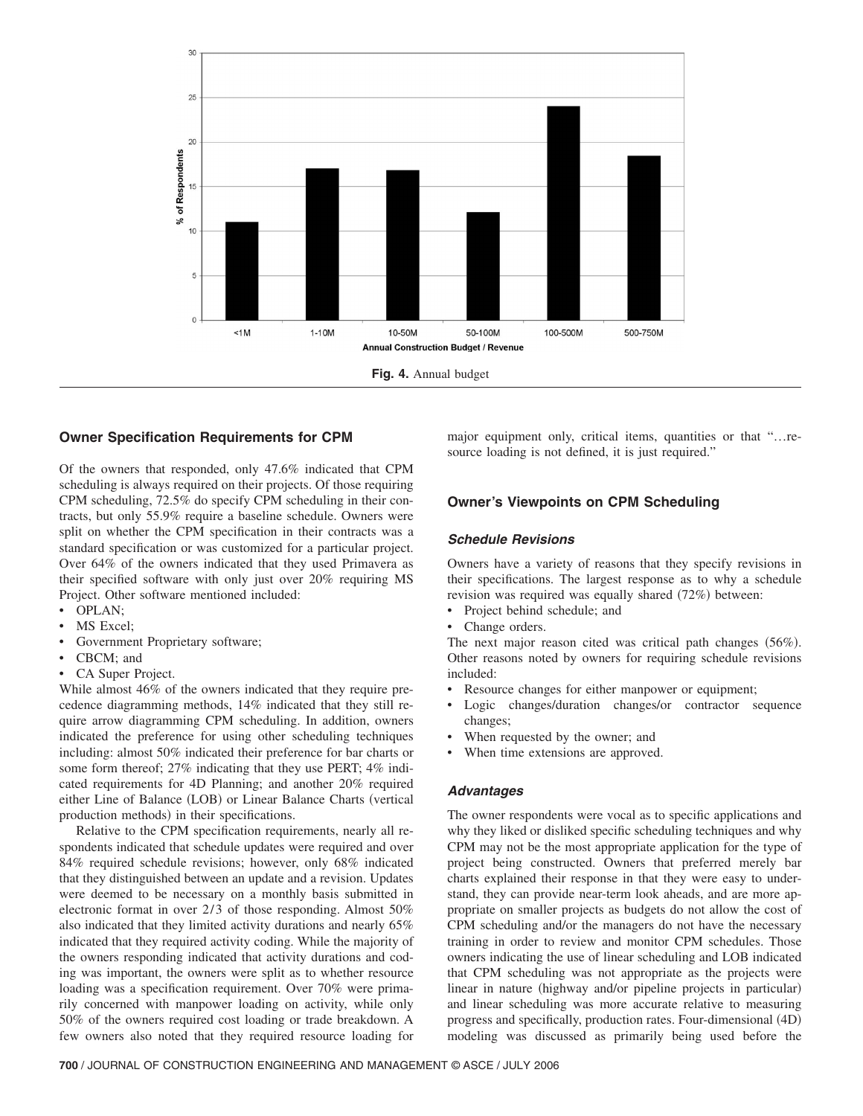

## **Owner Specification Requirements for CPM**

Of the owners that responded, only 47.6% indicated that CPM scheduling is always required on their projects. Of those requiring CPM scheduling, 72.5% do specify CPM scheduling in their contracts, but only 55.9% require a baseline schedule. Owners were split on whether the CPM specification in their contracts was a standard specification or was customized for a particular project. Over 64% of the owners indicated that they used Primavera as their specified software with only just over 20% requiring MS Project. Other software mentioned included:

- OPLAN;
- MS Excel;
- Government Proprietary software;
- CBCM; and
- CA Super Project.

While almost 46% of the owners indicated that they require precedence diagramming methods, 14% indicated that they still require arrow diagramming CPM scheduling. In addition, owners indicated the preference for using other scheduling techniques including: almost 50% indicated their preference for bar charts or some form thereof; 27% indicating that they use PERT; 4% indicated requirements for 4D Planning; and another 20% required either Line of Balance (LOB) or Linear Balance Charts (vertical production methods) in their specifications.

Relative to the CPM specification requirements, nearly all respondents indicated that schedule updates were required and over 84% required schedule revisions; however, only 68% indicated that they distinguished between an update and a revision. Updates were deemed to be necessary on a monthly basis submitted in electronic format in over  $2/3$  of those responding. Almost  $50\%$ also indicated that they limited activity durations and nearly 65% indicated that they required activity coding. While the majority of the owners responding indicated that activity durations and coding was important, the owners were split as to whether resource loading was a specification requirement. Over 70% were primarily concerned with manpower loading on activity, while only 50% of the owners required cost loading or trade breakdown. A few owners also noted that they required resource loading for

major equipment only, critical items, quantities or that "...resource loading is not defined, it is just required."

## **Owner's Viewpoints on CPM Scheduling**

#### *Schedule Revisions*

Owners have a variety of reasons that they specify revisions in their specifications. The largest response as to why a schedule revision was required was equally shared (72%) between:

- Project behind schedule; and
- Change orders.

The next major reason cited was critical path changes  $(56\%)$ . Other reasons noted by owners for requiring schedule revisions included:

- Resource changes for either manpower or equipment;
- Logic changes/duration changes/or contractor sequence changes;
- When requested by the owner; and
- When time extensions are approved.

#### *Advantages*

The owner respondents were vocal as to specific applications and why they liked or disliked specific scheduling techniques and why CPM may not be the most appropriate application for the type of project being constructed. Owners that preferred merely bar charts explained their response in that they were easy to understand, they can provide near-term look aheads, and are more appropriate on smaller projects as budgets do not allow the cost of CPM scheduling and/or the managers do not have the necessary training in order to review and monitor CPM schedules. Those owners indicating the use of linear scheduling and LOB indicated that CPM scheduling was not appropriate as the projects were linear in nature (highway and/or pipeline projects in particular) and linear scheduling was more accurate relative to measuring progress and specifically, production rates. Four-dimensional (4D) modeling was discussed as primarily being used before the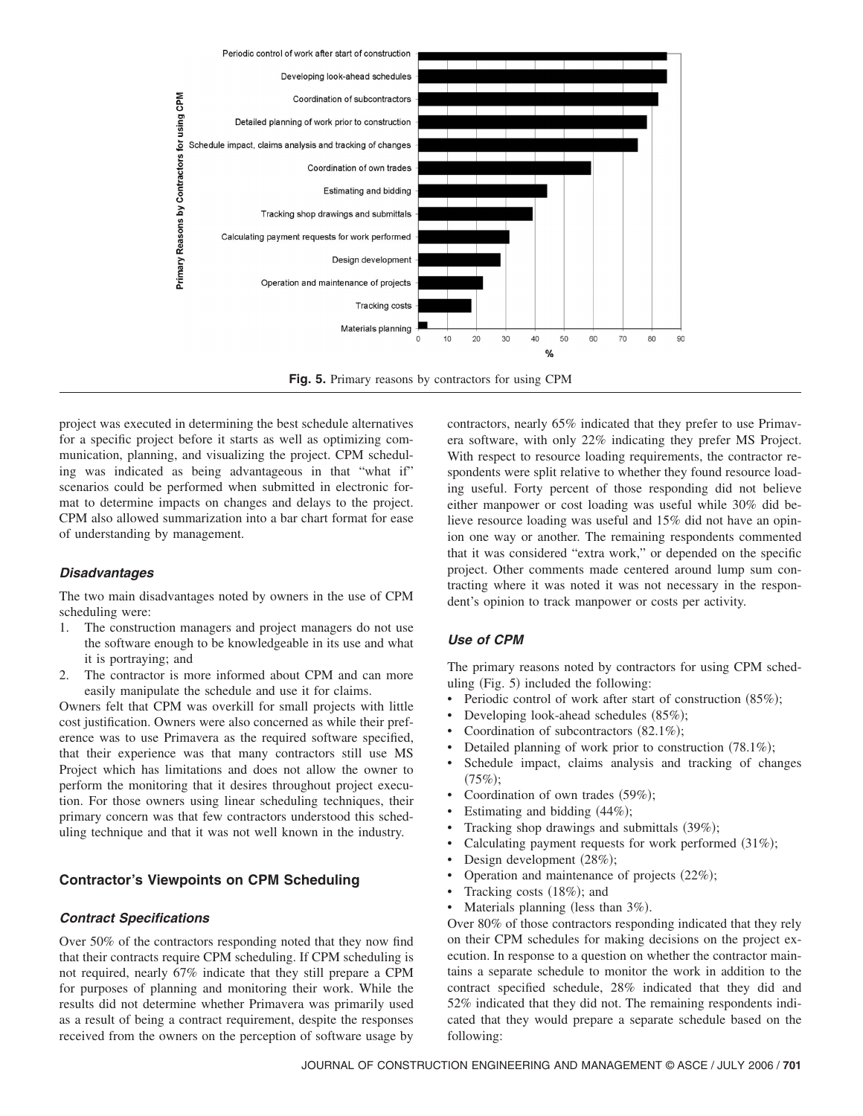

**Fig. 5.** Primary reasons by contractors for using CPM

project was executed in determining the best schedule alternatives for a specific project before it starts as well as optimizing communication, planning, and visualizing the project. CPM scheduling was indicated as being advantageous in that "what if" scenarios could be performed when submitted in electronic format to determine impacts on changes and delays to the project. CPM also allowed summarization into a bar chart format for ease of understanding by management.

### *Disadvantages*

The two main disadvantages noted by owners in the use of CPM scheduling were:

- 1. The construction managers and project managers do not use the software enough to be knowledgeable in its use and what it is portraying; and
- 2. The contractor is more informed about CPM and can more easily manipulate the schedule and use it for claims.

Owners felt that CPM was overkill for small projects with little cost justification. Owners were also concerned as while their preference was to use Primavera as the required software specified, that their experience was that many contractors still use MS Project which has limitations and does not allow the owner to perform the monitoring that it desires throughout project execution. For those owners using linear scheduling techniques, their primary concern was that few contractors understood this scheduling technique and that it was not well known in the industry.

## **Contractor's Viewpoints on CPM Scheduling**

#### *Contract Specifications*

Over 50% of the contractors responding noted that they now find that their contracts require CPM scheduling. If CPM scheduling is not required, nearly 67% indicate that they still prepare a CPM for purposes of planning and monitoring their work. While the results did not determine whether Primavera was primarily used as a result of being a contract requirement, despite the responses received from the owners on the perception of software usage by contractors, nearly 65% indicated that they prefer to use Primavera software, with only 22% indicating they prefer MS Project. With respect to resource loading requirements, the contractor respondents were split relative to whether they found resource loading useful. Forty percent of those responding did not believe either manpower or cost loading was useful while 30% did believe resource loading was useful and 15% did not have an opinion one way or another. The remaining respondents commented that it was considered "extra work," or depended on the specific project. Other comments made centered around lump sum contracting where it was noted it was not necessary in the respondent's opinion to track manpower or costs per activity.

#### *Use of CPM*

The primary reasons noted by contractors for using CPM scheduling (Fig. 5) included the following:

- Periodic control of work after start of construction (85%);
- Developing look-ahead schedules (85%);
- Coordination of subcontractors  $(82.1\%)$ ;
- Detailed planning of work prior to construction (78.1%);
- Schedule impact, claims analysis and tracking of changes  $(75%);$
- Coordination of own trades (59%);
- Estimating and bidding (44%);
- Tracking shop drawings and submittals (39%);
- Calculating payment requests for work performed (31%);
- Design development (28%);
- Operation and maintenance of projects  $(22\%)$ ;
- Tracking costs (18%); and
- Materials planning (less than 3%).

Over 80% of those contractors responding indicated that they rely on their CPM schedules for making decisions on the project execution. In response to a question on whether the contractor maintains a separate schedule to monitor the work in addition to the contract specified schedule, 28% indicated that they did and 52% indicated that they did not. The remaining respondents indicated that they would prepare a separate schedule based on the following: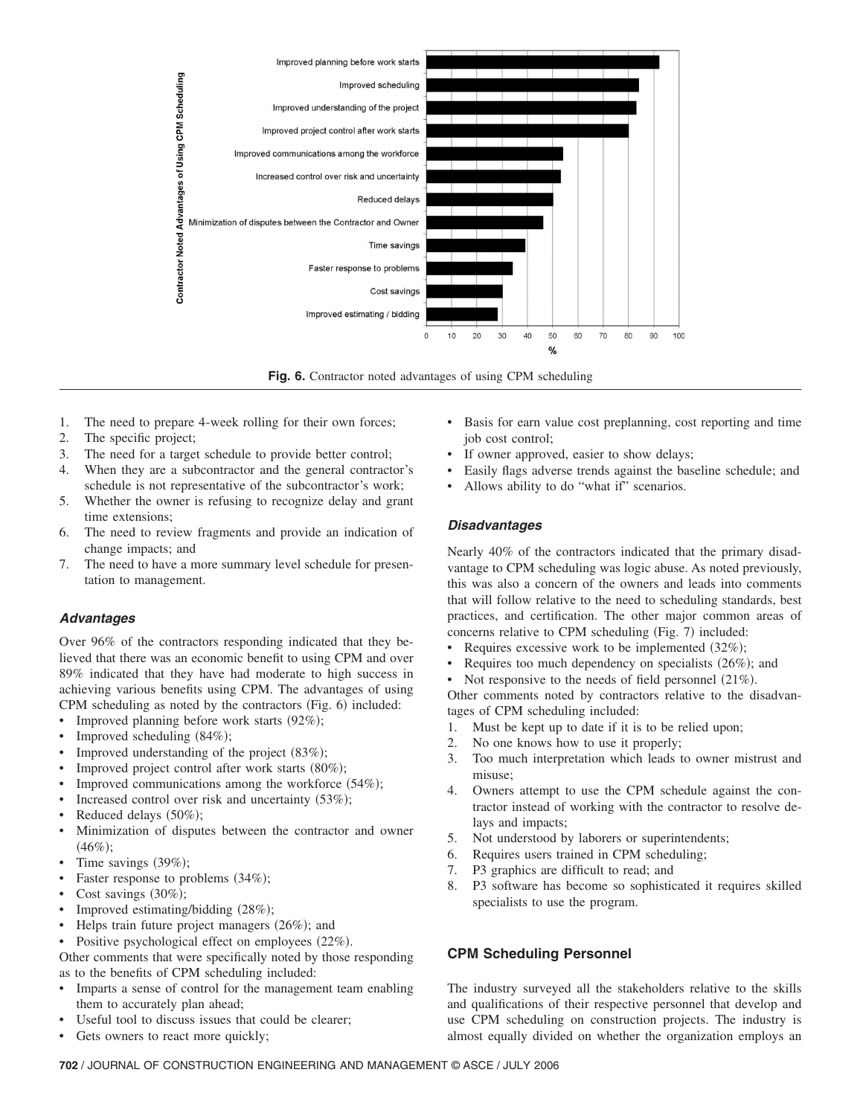

**Fig. 6.** Contractor noted advantages of using CPM scheduling

- 1. The need to prepare 4-week rolling for their own forces;
- 2. The specific project;
- 3. The need for a target schedule to provide better control;
- 4. When they are a subcontractor and the general contractor's schedule is not representative of the subcontractor's work;
- 5. Whether the owner is refusing to recognize delay and grant time extensions;
- 6. The need to review fragments and provide an indication of change impacts; and
- 7. The need to have a more summary level schedule for presentation to management.

### *Advantages*

Over 96% of the contractors responding indicated that they believed that there was an economic benefit to using CPM and over 89% indicated that they have had moderate to high success in achieving various benefits using CPM. The advantages of using CPM scheduling as noted by the contractors (Fig. 6) included:

- Improved planning before work starts (92%);
- Improved scheduling  $(84\%)$ ;
- Improved understanding of the project (83%);
- Improved project control after work starts (80%);
- Improved communications among the workforce (54%);
- Increased control over risk and uncertainty (53%);
- Reduced delays  $(50\%)$ ;
- Minimization of disputes between the contractor and owner  $(46\%);$
- Time savings  $(39\%)$ ;
- Faster response to problems (34%);
- Cost savings  $(30\%)$ ;
- Improved estimating/bidding (28%);
- Helps train future project managers (26%); and
- Positive psychological effect on employees  $(22\%)$ .
- Other comments that were specifically noted by those responding as to the benefits of CPM scheduling included:
- Imparts a sense of control for the management team enabling them to accurately plan ahead;
- Useful tool to discuss issues that could be clearer;
- Gets owners to react more quickly;
- Basis for earn value cost preplanning, cost reporting and time job cost control;
- If owner approved, easier to show delays;
- Easily flags adverse trends against the baseline schedule; and
- Allows ability to do "what if" scenarios.

## *Disadvantages*

Nearly 40% of the contractors indicated that the primary disadvantage to CPM scheduling was logic abuse. As noted previously, this was also a concern of the owners and leads into comments that will follow relative to the need to scheduling standards, best practices, and certification. The other major common areas of concerns relative to CPM scheduling (Fig. 7) included:

- Requires excessive work to be implemented  $(32\%)$ ;
- Requires too much dependency on specialists  $(26\%)$ ; and
- Not responsive to the needs of field personnel  $(21\%)$ .

Other comments noted by contractors relative to the disadvantages of CPM scheduling included:

- 1. Must be kept up to date if it is to be relied upon;
- 2. No one knows how to use it properly;
- 3. Too much interpretation which leads to owner mistrust and misuse;
- 4. Owners attempt to use the CPM schedule against the contractor instead of working with the contractor to resolve delays and impacts;
- 5. Not understood by laborers or superintendents;
- 6. Requires users trained in CPM scheduling;
- 7. P3 graphics are difficult to read; and
- 8. P3 software has become so sophisticated it requires skilled specialists to use the program.

# **CPM Scheduling Personnel**

The industry surveyed all the stakeholders relative to the skills and qualifications of their respective personnel that develop and use CPM scheduling on construction projects. The industry is almost equally divided on whether the organization employs an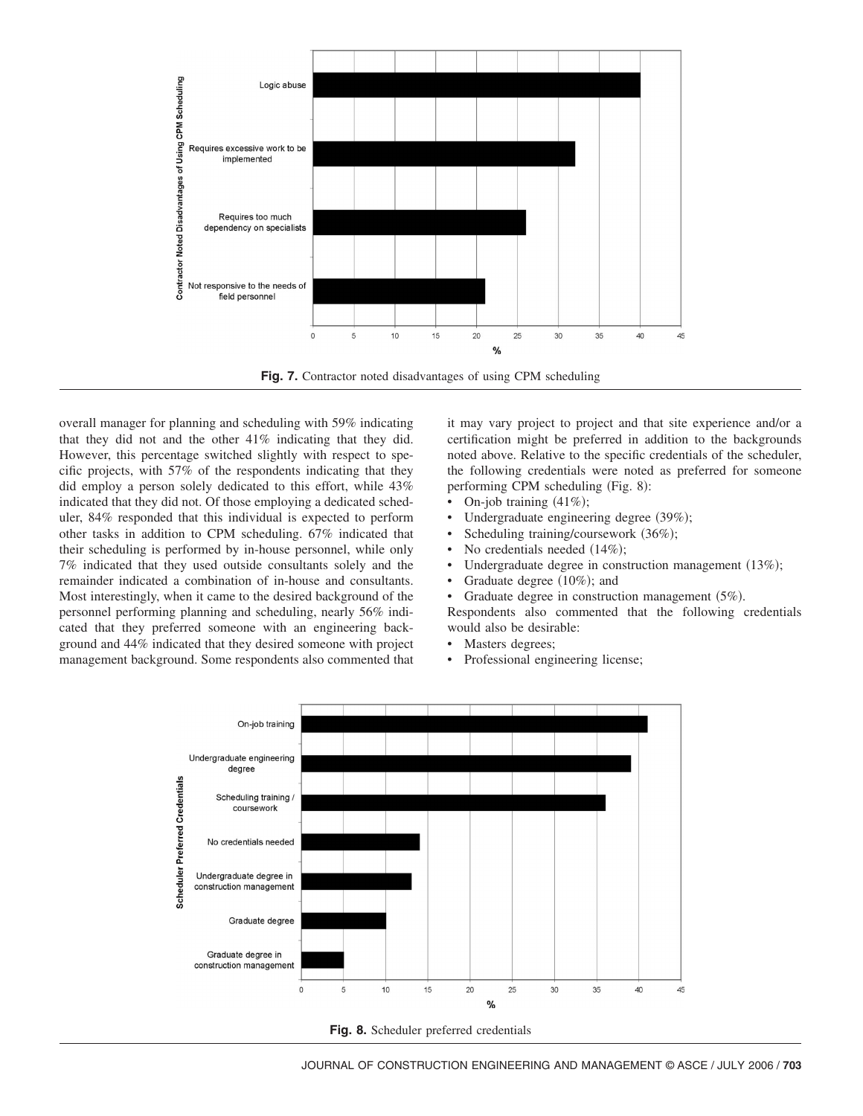

**Fig. 7.** Contractor noted disadvantages of using CPM scheduling

overall manager for planning and scheduling with 59% indicating that they did not and the other 41% indicating that they did. However, this percentage switched slightly with respect to specific projects, with 57% of the respondents indicating that they did employ a person solely dedicated to this effort, while 43% indicated that they did not. Of those employing a dedicated scheduler, 84% responded that this individual is expected to perform other tasks in addition to CPM scheduling. 67% indicated that their scheduling is performed by in-house personnel, while only 7% indicated that they used outside consultants solely and the remainder indicated a combination of in-house and consultants. Most interestingly, when it came to the desired background of the personnel performing planning and scheduling, nearly 56% indicated that they preferred someone with an engineering background and 44% indicated that they desired someone with project management background. Some respondents also commented that

it may vary project to project and that site experience and/or a certification might be preferred in addition to the backgrounds noted above. Relative to the specific credentials of the scheduler, the following credentials were noted as preferred for someone performing CPM scheduling (Fig. 8):

- On-job training  $(41\%)$ ;
- Undergraduate engineering degree (39%);
- Scheduling training/coursework (36%);
- No credentials needed  $(14\%)$ ;
- Undergraduate degree in construction management (13%);
- Graduate degree (10%); and

• Graduate degree in construction management  $(5\%)$ .

Respondents also commented that the following credentials would also be desirable:

- Masters degrees;
- Professional engineering license;



**Fig. 8.** Scheduler preferred credentials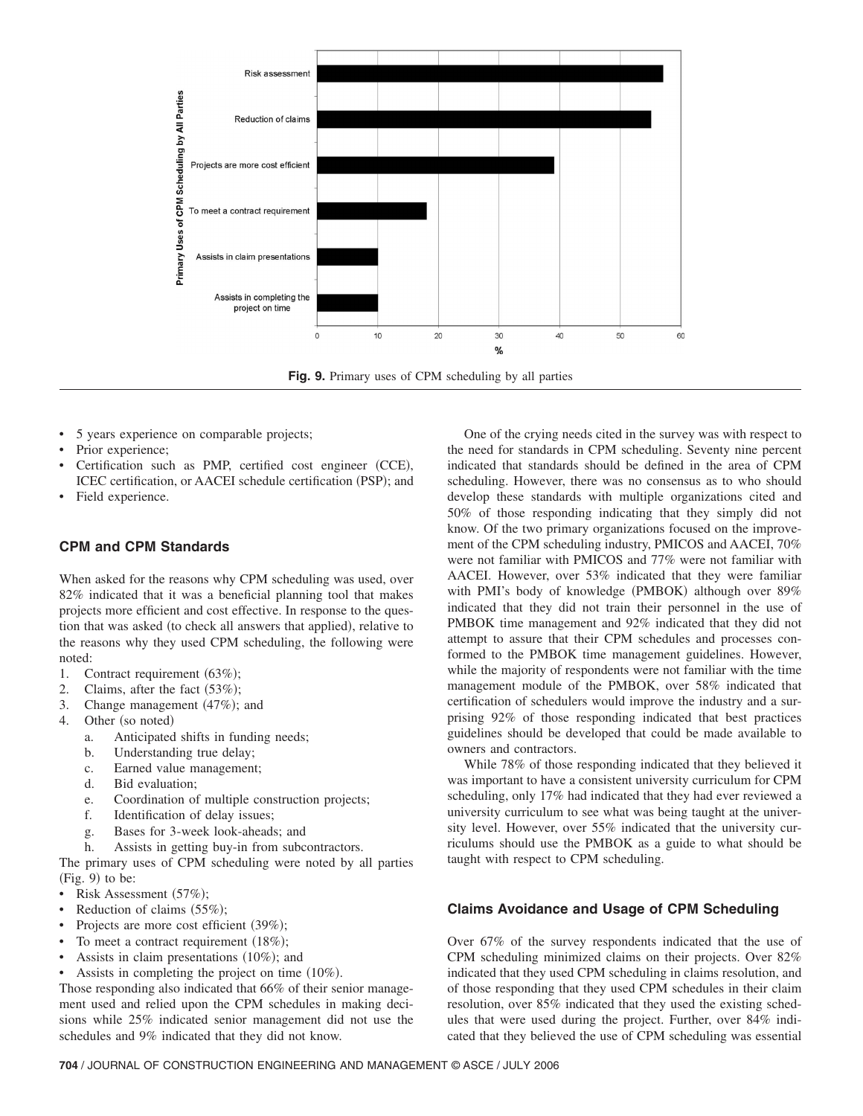

- 5 years experience on comparable projects;
- Prior experience;
- Certification such as PMP, certified cost engineer (CCE), ICEC certification, or AACEI schedule certification (PSP); and
- Field experience.

## **CPM and CPM Standards**

When asked for the reasons why CPM scheduling was used, over 82% indicated that it was a beneficial planning tool that makes projects more efficient and cost effective. In response to the question that was asked (to check all answers that applied), relative to the reasons why they used CPM scheduling, the following were noted:

- 1. Contract requirement (63%);
- 2. Claims, after the fact  $(53\%)$ ;
- 3. Change management  $(47%)$ ; and
- 4. Other (so noted)
	- a. Anticipated shifts in funding needs;
	- b. Understanding true delay;
	- c. Earned value management;
	- d. Bid evaluation;
	- e. Coordination of multiple construction projects;
	- f. Identification of delay issues;
	- g. Bases for 3-week look-aheads; and
	- h. Assists in getting buy-in from subcontractors.

The primary uses of CPM scheduling were noted by all parties  $(Fig. 9)$  to be:

- Risk Assessment (57%);
- Reduction of claims (55%);
- Projects are more cost efficient (39%);
- To meet a contract requirement (18%);
- Assists in claim presentations  $(10\%)$ ; and
- Assists in completing the project on time  $(10\%)$ .

Those responding also indicated that 66% of their senior management used and relied upon the CPM schedules in making decisions while 25% indicated senior management did not use the schedules and 9% indicated that they did not know.

One of the crying needs cited in the survey was with respect to the need for standards in CPM scheduling. Seventy nine percent indicated that standards should be defined in the area of CPM scheduling. However, there was no consensus as to who should develop these standards with multiple organizations cited and 50% of those responding indicating that they simply did not know. Of the two primary organizations focused on the improvement of the CPM scheduling industry, PMICOS and AACEI, 70% were not familiar with PMICOS and 77% were not familiar with AACEI. However, over 53% indicated that they were familiar with PMI's body of knowledge (PMBOK) although over 89% indicated that they did not train their personnel in the use of PMBOK time management and 92% indicated that they did not attempt to assure that their CPM schedules and processes conformed to the PMBOK time management guidelines. However, while the majority of respondents were not familiar with the time management module of the PMBOK, over 58% indicated that certification of schedulers would improve the industry and a surprising 92% of those responding indicated that best practices guidelines should be developed that could be made available to owners and contractors.

While 78% of those responding indicated that they believed it was important to have a consistent university curriculum for CPM scheduling, only 17% had indicated that they had ever reviewed a university curriculum to see what was being taught at the university level. However, over 55% indicated that the university curriculums should use the PMBOK as a guide to what should be taught with respect to CPM scheduling.

## **Claims Avoidance and Usage of CPM Scheduling**

Over 67% of the survey respondents indicated that the use of CPM scheduling minimized claims on their projects. Over 82% indicated that they used CPM scheduling in claims resolution, and of those responding that they used CPM schedules in their claim resolution, over 85% indicated that they used the existing schedules that were used during the project. Further, over 84% indicated that they believed the use of CPM scheduling was essential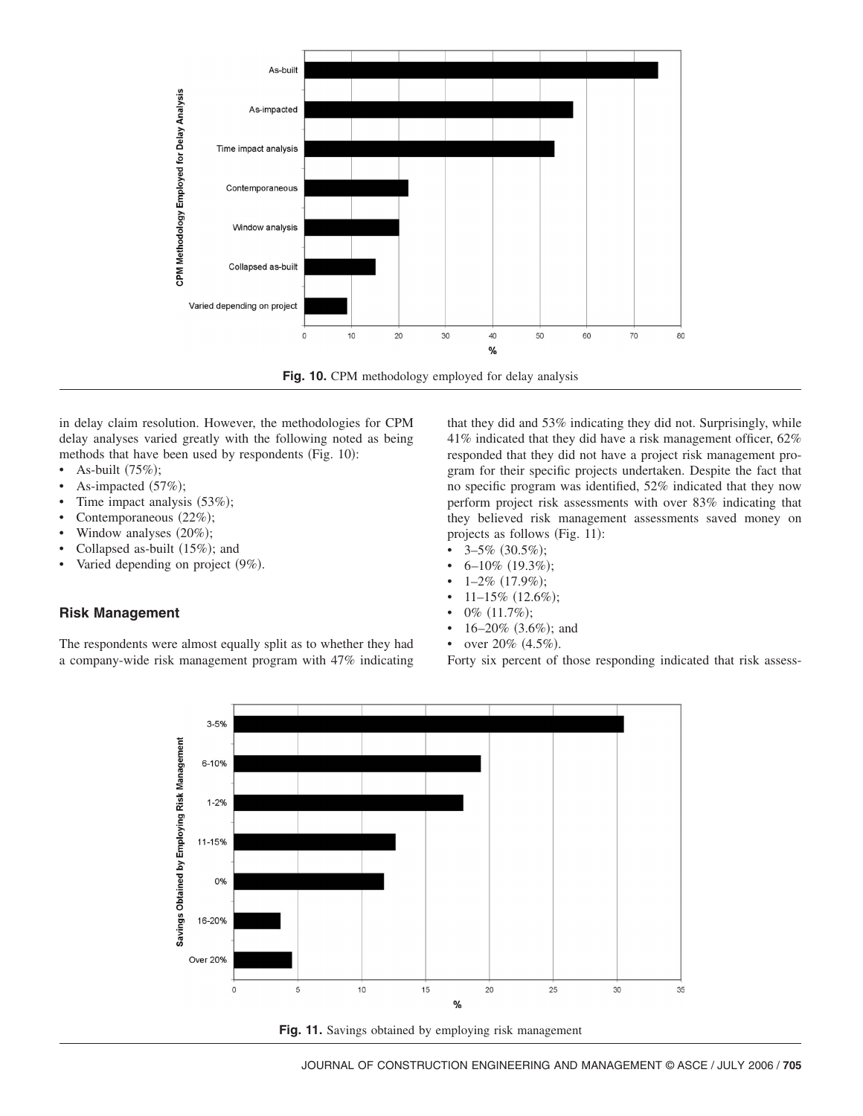



in delay claim resolution. However, the methodologies for CPM delay analyses varied greatly with the following noted as being methods that have been used by respondents (Fig. 10):

- As-built  $(75\%)$ ;
- As-impacted  $(57%)$ ;
- Time impact analysis (53%);
- Contemporaneous  $(22\%)$ ;
- Window analyses  $(20\%);$
- Collapsed as-built (15%); and
- Varied depending on project (9%).

# **Risk Management**

The respondents were almost equally split as to whether they had a company-wide risk management program with 47% indicating

that they did and 53% indicating they did not. Surprisingly, while 41% indicated that they did have a risk management officer, 62% responded that they did not have a project risk management program for their specific projects undertaken. Despite the fact that no specific program was identified, 52% indicated that they now perform project risk assessments with over 83% indicating that they believed risk management assessments saved money on projects as follows (Fig. 11):

- $3-5\%$  (30.5%);
- $6-10\%$  (19.3%);
- $1-2\%$   $(17.9\%);$
- $11-15\%$  (12.6%);
- 0%  $(11.7\%)$ ;
- $16-20\%$  (3.6%); and
- over  $20\%$   $(4.5\%)$ .

Forty six percent of those responding indicated that risk assess-



Fig. 11. Savings obtained by employing risk management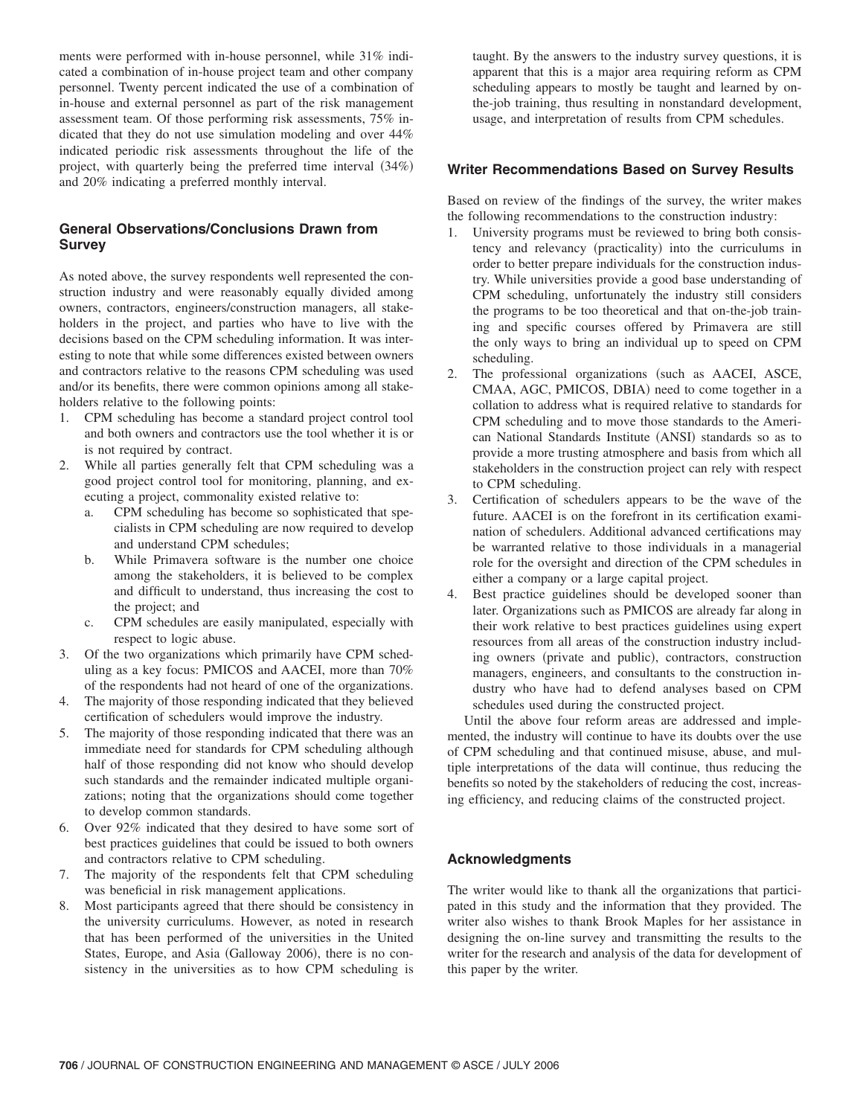ments were performed with in-house personnel, while 31% indicated a combination of in-house project team and other company personnel. Twenty percent indicated the use of a combination of in-house and external personnel as part of the risk management assessment team. Of those performing risk assessments, 75% indicated that they do not use simulation modeling and over 44% indicated periodic risk assessments throughout the life of the project, with quarterly being the preferred time interval  $(34%)$ and 20% indicating a preferred monthly interval.

## **General Observations/Conclusions Drawn from Survey**

As noted above, the survey respondents well represented the construction industry and were reasonably equally divided among owners, contractors, engineers/construction managers, all stakeholders in the project, and parties who have to live with the decisions based on the CPM scheduling information. It was interesting to note that while some differences existed between owners and contractors relative to the reasons CPM scheduling was used and/or its benefits, there were common opinions among all stakeholders relative to the following points:

- 1. CPM scheduling has become a standard project control tool and both owners and contractors use the tool whether it is or is not required by contract.
- 2. While all parties generally felt that CPM scheduling was a good project control tool for monitoring, planning, and executing a project, commonality existed relative to:
	- a. CPM scheduling has become so sophisticated that specialists in CPM scheduling are now required to develop and understand CPM schedules;
	- b. While Primavera software is the number one choice among the stakeholders, it is believed to be complex and difficult to understand, thus increasing the cost to the project; and
	- c. CPM schedules are easily manipulated, especially with respect to logic abuse.
- 3. Of the two organizations which primarily have CPM scheduling as a key focus: PMICOS and AACEI, more than 70% of the respondents had not heard of one of the organizations.
- 4. The majority of those responding indicated that they believed certification of schedulers would improve the industry.
- 5. The majority of those responding indicated that there was an immediate need for standards for CPM scheduling although half of those responding did not know who should develop such standards and the remainder indicated multiple organizations; noting that the organizations should come together to develop common standards.
- 6. Over 92% indicated that they desired to have some sort of best practices guidelines that could be issued to both owners and contractors relative to CPM scheduling.
- 7. The majority of the respondents felt that CPM scheduling was beneficial in risk management applications.
- 8. Most participants agreed that there should be consistency in the university curriculums. However, as noted in research that has been performed of the universities in the United States, Europe, and Asia (Galloway 2006), there is no consistency in the universities as to how CPM scheduling is

taught. By the answers to the industry survey questions, it is apparent that this is a major area requiring reform as CPM scheduling appears to mostly be taught and learned by onthe-job training, thus resulting in nonstandard development, usage, and interpretation of results from CPM schedules.

# **Writer Recommendations Based on Survey Results**

Based on review of the findings of the survey, the writer makes the following recommendations to the construction industry:

- 1. University programs must be reviewed to bring both consistency and relevancy (practicality) into the curriculums in order to better prepare individuals for the construction industry. While universities provide a good base understanding of CPM scheduling, unfortunately the industry still considers the programs to be too theoretical and that on-the-job training and specific courses offered by Primavera are still the only ways to bring an individual up to speed on CPM scheduling.
- 2. The professional organizations (such as AACEI, ASCE, CMAA, AGC, PMICOS, DBIA) need to come together in a collation to address what is required relative to standards for CPM scheduling and to move those standards to the American National Standards Institute (ANSI) standards so as to provide a more trusting atmosphere and basis from which all stakeholders in the construction project can rely with respect to CPM scheduling.
- 3. Certification of schedulers appears to be the wave of the future. AACEI is on the forefront in its certification examination of schedulers. Additional advanced certifications may be warranted relative to those individuals in a managerial role for the oversight and direction of the CPM schedules in either a company or a large capital project.
- 4. Best practice guidelines should be developed sooner than later. Organizations such as PMICOS are already far along in their work relative to best practices guidelines using expert resources from all areas of the construction industry including owners (private and public), contractors, construction managers, engineers, and consultants to the construction industry who have had to defend analyses based on CPM schedules used during the constructed project.

Until the above four reform areas are addressed and implemented, the industry will continue to have its doubts over the use of CPM scheduling and that continued misuse, abuse, and multiple interpretations of the data will continue, thus reducing the benefits so noted by the stakeholders of reducing the cost, increasing efficiency, and reducing claims of the constructed project.

### **Acknowledgments**

The writer would like to thank all the organizations that participated in this study and the information that they provided. The writer also wishes to thank Brook Maples for her assistance in designing the on-line survey and transmitting the results to the writer for the research and analysis of the data for development of this paper by the writer.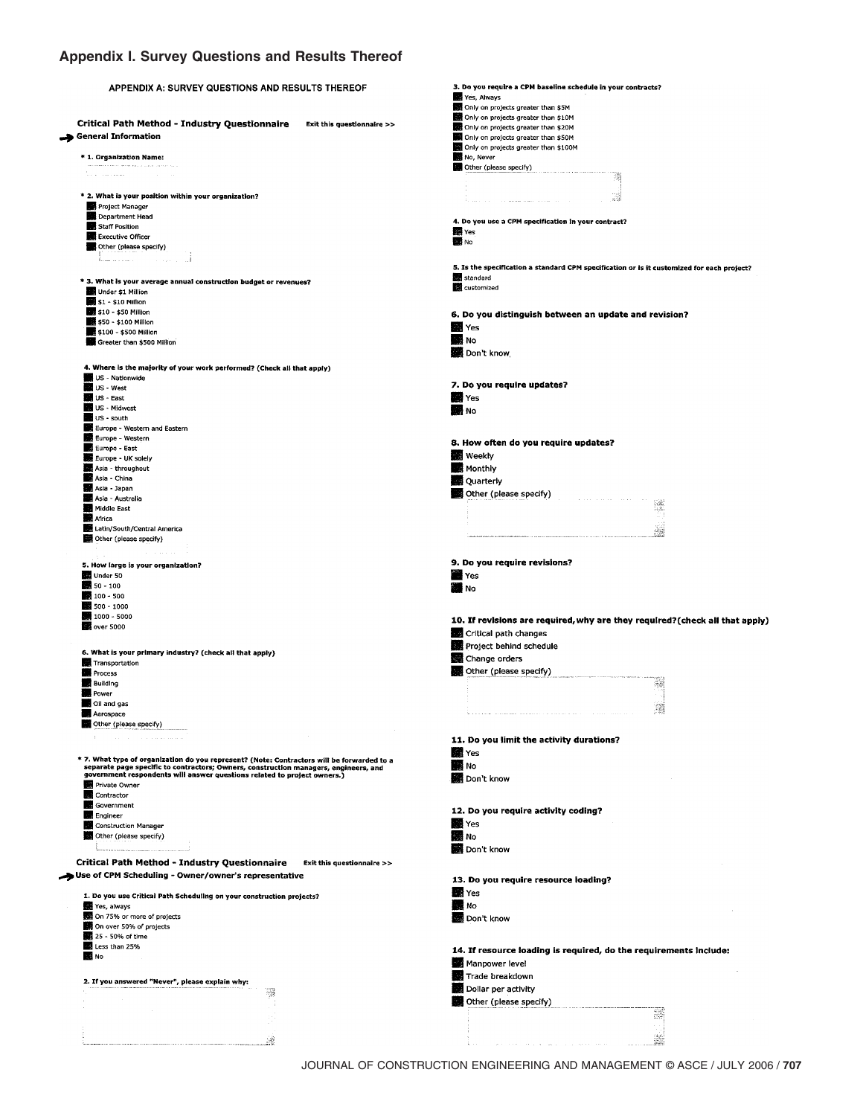# **Appendix I. Survey Questions and Results Thereof**

| APPENDIX A: SURVEY QUESTIONS AND RESULTS THEREOF                                                                                                                                   | 3. Do you require a CPM baseline schedule in your contracts?                               |
|------------------------------------------------------------------------------------------------------------------------------------------------------------------------------------|--------------------------------------------------------------------------------------------|
|                                                                                                                                                                                    | Yes, Always                                                                                |
|                                                                                                                                                                                    | Only on projects greater than \$5M                                                         |
| Critical Path Method - Industry Questionnaire<br>Exit this questionnaire >>                                                                                                        | Only on projects greater than \$10M                                                        |
| General Information                                                                                                                                                                | Only on projects greater than \$20M<br>Only on projects greater than \$50M                 |
|                                                                                                                                                                                    | Only on projects greater than \$100M                                                       |
| * 1. Organization Name:                                                                                                                                                            | No, Never                                                                                  |
|                                                                                                                                                                                    | Other (please specify)                                                                     |
| .                                                                                                                                                                                  |                                                                                            |
|                                                                                                                                                                                    |                                                                                            |
| * 2. What is your position within your organization?                                                                                                                               | 43                                                                                         |
| Project Manager                                                                                                                                                                    |                                                                                            |
| Department Head                                                                                                                                                                    | 4. Do you use a CPM specification in your contract?                                        |
| Staff Position                                                                                                                                                                     | <b>Res</b> Yes                                                                             |
| Executive Officer                                                                                                                                                                  | <b>B</b> No                                                                                |
| Other (please specify)                                                                                                                                                             |                                                                                            |
|                                                                                                                                                                                    | 5. Is the specification a standard CPM specification or is it customized for each project? |
|                                                                                                                                                                                    | standard                                                                                   |
| * 3. What is your average annual construction budget or revenues?                                                                                                                  | customized                                                                                 |
| Under \$1 Million                                                                                                                                                                  |                                                                                            |
| \$1 - \$10 Million<br>\$10 - \$50 Million                                                                                                                                          |                                                                                            |
| 550 - \$100 Million                                                                                                                                                                | 6. Do you distinguish between an update and revision?                                      |
| \$100 - \$500 Million                                                                                                                                                              | <b>XX</b> Yes                                                                              |
| Greater than \$500 Million                                                                                                                                                         | <b>M</b> No                                                                                |
|                                                                                                                                                                                    | Don't know                                                                                 |
|                                                                                                                                                                                    |                                                                                            |
| 4. Where is the majority of your work performed? (Check all that apply)                                                                                                            |                                                                                            |
| US - Nationwide<br>US - West                                                                                                                                                       | 7. Do you require updates?                                                                 |
| US - East                                                                                                                                                                          | <b>Yes</b>                                                                                 |
| US - Midwest                                                                                                                                                                       |                                                                                            |
| US - south                                                                                                                                                                         | <b>NO</b> No                                                                               |
| Europe - Western and Eastern                                                                                                                                                       |                                                                                            |
| Europe - Western                                                                                                                                                                   |                                                                                            |
| Europe - East                                                                                                                                                                      | 8. How often do you require updates?                                                       |
| Europe - UK solely                                                                                                                                                                 | <b>Weekly</b>                                                                              |
| Asia - throughout                                                                                                                                                                  | <b>Monthly</b>                                                                             |
| Asia - China                                                                                                                                                                       | <b>Quarterly</b>                                                                           |
| Asia - Japan                                                                                                                                                                       | Other (please specify)                                                                     |
| Asia - Australia                                                                                                                                                                   |                                                                                            |
| Middle East                                                                                                                                                                        |                                                                                            |
| Africa<br>Latin/South/Central America                                                                                                                                              |                                                                                            |
| Other (please specify)                                                                                                                                                             |                                                                                            |
|                                                                                                                                                                                    |                                                                                            |
|                                                                                                                                                                                    |                                                                                            |
| 5. How large is your organization?                                                                                                                                                 | 9. Do you require revisions?                                                               |
| Under 50                                                                                                                                                                           | WEYes                                                                                      |
| $50 - 100$                                                                                                                                                                         | <b>TH</b> No                                                                               |
| $100 - 500$                                                                                                                                                                        |                                                                                            |
| 500 - 1000                                                                                                                                                                         |                                                                                            |
| 1000 - 5000<br>over 5000                                                                                                                                                           | 10. If revisions are required, why are they required? (check all that apply)               |
|                                                                                                                                                                                    | <b>De Critical path changes</b>                                                            |
|                                                                                                                                                                                    | Project behind schedule                                                                    |
| 6. What is your primary industry? (check all that apply)                                                                                                                           | Change orders                                                                              |
| Transportation                                                                                                                                                                     | Other (please specify)                                                                     |
| <b>Process</b>                                                                                                                                                                     |                                                                                            |
| <b>Building</b>                                                                                                                                                                    |                                                                                            |
| <b>Det</b> Power<br>Oil and gas                                                                                                                                                    |                                                                                            |
| Aerospace                                                                                                                                                                          |                                                                                            |
| Other (please specify)                                                                                                                                                             |                                                                                            |
|                                                                                                                                                                                    |                                                                                            |
|                                                                                                                                                                                    | 11. Do you limit the activity durations?                                                   |
|                                                                                                                                                                                    | <b>All</b> Yes                                                                             |
| * 7. What type of organization do you represent? (Note: Contractors will be forwarded to a<br>separate page specific to contractors; Owners, construction managers, engineers, and | <b>No</b> No                                                                               |
| government respondents will answer questions related to project owners.)                                                                                                           | Don't know                                                                                 |
| Private Owner                                                                                                                                                                      |                                                                                            |
| <b>Contractor</b>                                                                                                                                                                  |                                                                                            |
| Government                                                                                                                                                                         | 12. Do you require activity coding?                                                        |
| <b>Engineer</b>                                                                                                                                                                    |                                                                                            |
| Construction Manager                                                                                                                                                               | <b>N</b> Yes                                                                               |
| Other (please specify)                                                                                                                                                             | No<br>$\sim 10$                                                                            |
|                                                                                                                                                                                    | Don't know                                                                                 |
| Critical Path Method - Industry Questionnaire<br>Exit this questionnaire >>                                                                                                        |                                                                                            |
| Use of CPM Scheduling - Owner/owner's representative                                                                                                                               |                                                                                            |
|                                                                                                                                                                                    | 13. Do you require resource loading?                                                       |
| 1. Do you use Critical Path Scheduling on your construction projects?                                                                                                              | <b>W</b> Yes                                                                               |
| Yes, always                                                                                                                                                                        | <b>M</b> No                                                                                |
| On 75% or more of projects                                                                                                                                                         | Bon't know                                                                                 |
| On over 50% of projects                                                                                                                                                            |                                                                                            |
| 25 - 50% of time                                                                                                                                                                   |                                                                                            |
| Less than 25%                                                                                                                                                                      | 14. If resource loading is required, do the requirements include:                          |
| <b>Red</b> No                                                                                                                                                                      | Manpower level                                                                             |
|                                                                                                                                                                                    |                                                                                            |
| 2. If you answered "Never", please explain why:                                                                                                                                    | Trade breakdown                                                                            |
|                                                                                                                                                                                    | Dollar per activity                                                                        |
|                                                                                                                                                                                    | Other (please specify)                                                                     |
|                                                                                                                                                                                    |                                                                                            |
|                                                                                                                                                                                    |                                                                                            |
|                                                                                                                                                                                    |                                                                                            |
|                                                                                                                                                                                    |                                                                                            |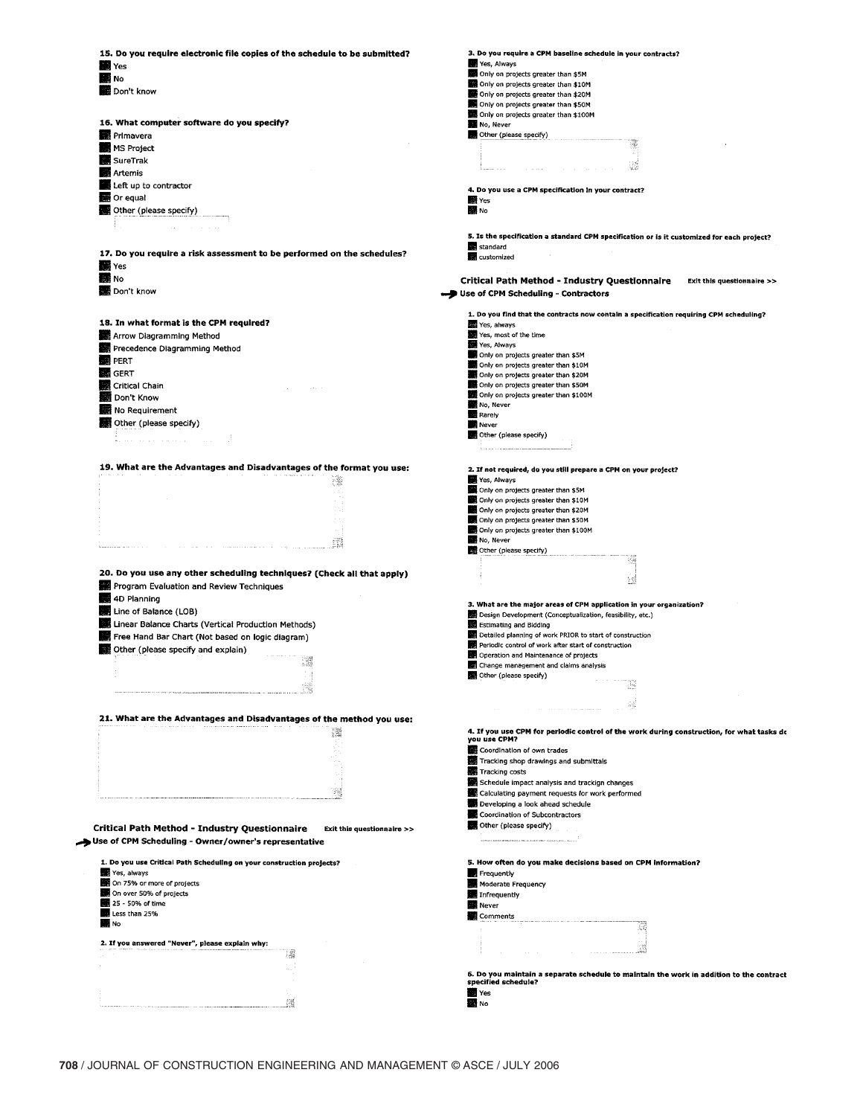| 15. Do you require electronic file copies of the schedule to be submitted?                                                                                                                                                                                                                   | 3. Do you require a CPM baseline schedule in your contracts?<br>Yes, Always                                      |
|----------------------------------------------------------------------------------------------------------------------------------------------------------------------------------------------------------------------------------------------------------------------------------------------|------------------------------------------------------------------------------------------------------------------|
| <b>MM</b> Yes                                                                                                                                                                                                                                                                                | Only on projects greater than \$5M                                                                               |
| <b>M</b> No                                                                                                                                                                                                                                                                                  | Only on projects greater than \$10M                                                                              |
| Don't know                                                                                                                                                                                                                                                                                   | Only on projects greater than \$20M                                                                              |
|                                                                                                                                                                                                                                                                                              | Only on projects greater than \$50M                                                                              |
|                                                                                                                                                                                                                                                                                              | Only on projects greater than \$100M                                                                             |
| 16. What computer software do you specify?                                                                                                                                                                                                                                                   | No, Never                                                                                                        |
| <b>B</b> Primavera                                                                                                                                                                                                                                                                           | Other (please specify)                                                                                           |
| <b>MS Project</b>                                                                                                                                                                                                                                                                            |                                                                                                                  |
| SureTrak                                                                                                                                                                                                                                                                                     |                                                                                                                  |
| Artemis                                                                                                                                                                                                                                                                                      |                                                                                                                  |
| Left up to contractor                                                                                                                                                                                                                                                                        | 4. Do you use a CPM specification in your contract?                                                              |
| Or equal                                                                                                                                                                                                                                                                                     | Yes                                                                                                              |
| Other (please specify)                                                                                                                                                                                                                                                                       | No.                                                                                                              |
|                                                                                                                                                                                                                                                                                              |                                                                                                                  |
|                                                                                                                                                                                                                                                                                              | 5. Is the specification a standard CPM specification or is it customized for each project?<br>standard           |
| 17. Do you require a risk assessment to be performed on the schedules?                                                                                                                                                                                                                       | customized                                                                                                       |
| <b>N</b> Yes                                                                                                                                                                                                                                                                                 |                                                                                                                  |
| 图 No                                                                                                                                                                                                                                                                                         | Critical Path Method - Industry Questionnaire<br>Exit this questionnaire >>                                      |
| Don't know                                                                                                                                                                                                                                                                                   | Use of CPM Scheduling - Contractors                                                                              |
|                                                                                                                                                                                                                                                                                              | 1. Do you find that the contracts now contain a specification requiring CPM scheduling?                          |
| 18. In what format is the CPM required?                                                                                                                                                                                                                                                      | Yes, always                                                                                                      |
| Arrow Diagramming Method                                                                                                                                                                                                                                                                     | Yes, most of the time                                                                                            |
| Precedence Diagramming Method                                                                                                                                                                                                                                                                | Yes, Always                                                                                                      |
| <b>BE</b> PERT                                                                                                                                                                                                                                                                               | Only on projects greater than \$5M                                                                               |
| <b>S</b> GERT                                                                                                                                                                                                                                                                                | Only on projects greater than \$10M<br>Only on projects greater than \$20M                                       |
| Critical Chain                                                                                                                                                                                                                                                                               | Only on projects greater than \$50M                                                                              |
| 翻 Don't Know                                                                                                                                                                                                                                                                                 | Only on projects greater than \$100M                                                                             |
|                                                                                                                                                                                                                                                                                              | No, Never                                                                                                        |
| No Requirement                                                                                                                                                                                                                                                                               | <b>Rarely</b>                                                                                                    |
| Other (please specify)                                                                                                                                                                                                                                                                       | Never                                                                                                            |
|                                                                                                                                                                                                                                                                                              | Other (please specify)                                                                                           |
|                                                                                                                                                                                                                                                                                              | .<br>Urbania indiana ang kalendaryo                                                                              |
| 19. What are the Advantages and Disadvantages of the format you use:                                                                                                                                                                                                                         | 2. If not required, do you still prepare a CPM on your project?                                                  |
| 纝                                                                                                                                                                                                                                                                                            | Yes, Always                                                                                                      |
| 34                                                                                                                                                                                                                                                                                           | Only on projects greater than \$5M                                                                               |
|                                                                                                                                                                                                                                                                                              | Only on projects greater than \$10M                                                                              |
|                                                                                                                                                                                                                                                                                              | Only on projects greater than \$20M                                                                              |
|                                                                                                                                                                                                                                                                                              | Only on projects greater than \$50M                                                                              |
|                                                                                                                                                                                                                                                                                              | Only on projects greater than \$100M                                                                             |
|                                                                                                                                                                                                                                                                                              | No, Never                                                                                                        |
|                                                                                                                                                                                                                                                                                              | Other (please specify)<br>W                                                                                      |
| 20. Do you use any other scheduling techniques? (Check all that apply)                                                                                                                                                                                                                       |                                                                                                                  |
| Program Evaluation and Review Techniques                                                                                                                                                                                                                                                     | 놼                                                                                                                |
| 4D Planning                                                                                                                                                                                                                                                                                  |                                                                                                                  |
| Line of Balance (LOB)                                                                                                                                                                                                                                                                        | 3. What are the major areas of CPM application in your organization?                                             |
|                                                                                                                                                                                                                                                                                              | Design Development (Conceptualization, feasibility, etc.)                                                        |
| Linear Balance Charts (Vertical Production Methods)                                                                                                                                                                                                                                          | Estimating and Bidding                                                                                           |
| Free Hand Bar Chart (Not based on logic diagram)                                                                                                                                                                                                                                             | Detailed planning of work PRIOR to start of construction<br>Periodic control of work after start of construction |
| Other (please specify and explain)                                                                                                                                                                                                                                                           | Operation and Maintenance of projects                                                                            |
| R                                                                                                                                                                                                                                                                                            | Change management and claims analysis                                                                            |
|                                                                                                                                                                                                                                                                                              | Other (please specify)                                                                                           |
|                                                                                                                                                                                                                                                                                              |                                                                                                                  |
|                                                                                                                                                                                                                                                                                              |                                                                                                                  |
|                                                                                                                                                                                                                                                                                              |                                                                                                                  |
| 21. What are the Advantages and Disadvantages of the method you use:<br>灢                                                                                                                                                                                                                    | 4. If you use CPM for periodic control of the work during construction, for what tasks dc                        |
|                                                                                                                                                                                                                                                                                              | you use CPM?                                                                                                     |
|                                                                                                                                                                                                                                                                                              | Coordination of own trades                                                                                       |
|                                                                                                                                                                                                                                                                                              | Tracking shop drawings and submittals                                                                            |
|                                                                                                                                                                                                                                                                                              | Tracking costs                                                                                                   |
|                                                                                                                                                                                                                                                                                              | Schedule impact analysis and trackign changes                                                                    |
|                                                                                                                                                                                                                                                                                              | Calculating payment requests for work performed                                                                  |
|                                                                                                                                                                                                                                                                                              | Developing a look ahead schedule                                                                                 |
|                                                                                                                                                                                                                                                                                              | Coordination of Subcontractors                                                                                   |
| Critical Path Method - Industry Questionnaire<br>Exit this questionnaire >>                                                                                                                                                                                                                  | Other (please specify)                                                                                           |
|                                                                                                                                                                                                                                                                                              |                                                                                                                  |
|                                                                                                                                                                                                                                                                                              |                                                                                                                  |
|                                                                                                                                                                                                                                                                                              |                                                                                                                  |
|                                                                                                                                                                                                                                                                                              | 5. How often do you make decisions based on CPM information?                                                     |
|                                                                                                                                                                                                                                                                                              | Frequently                                                                                                       |
|                                                                                                                                                                                                                                                                                              | Moderate Frequency                                                                                               |
|                                                                                                                                                                                                                                                                                              | Infrequently                                                                                                     |
| Less than 25%                                                                                                                                                                                                                                                                                | <b>Never</b>                                                                                                     |
|                                                                                                                                                                                                                                                                                              | Comments                                                                                                         |
|                                                                                                                                                                                                                                                                                              |                                                                                                                  |
|                                                                                                                                                                                                                                                                                              |                                                                                                                  |
|                                                                                                                                                                                                                                                                                              |                                                                                                                  |
| Use of CPM Scheduling - Owner/owner's representative<br>1. Do you use Critical Path Scheduling on your construction projects?<br>Yes, always<br>On 75% or more of projects<br>On over 50% of projects<br>25 - 50% of time<br><b>NO</b> No<br>2. If you answered "Never", please explain why: |                                                                                                                  |
|                                                                                                                                                                                                                                                                                              | 6. Do you maintain a separate schedule to maintain the work in addition to the contract<br>specified schedule?   |
|                                                                                                                                                                                                                                                                                              | <b>WE</b> Yes                                                                                                    |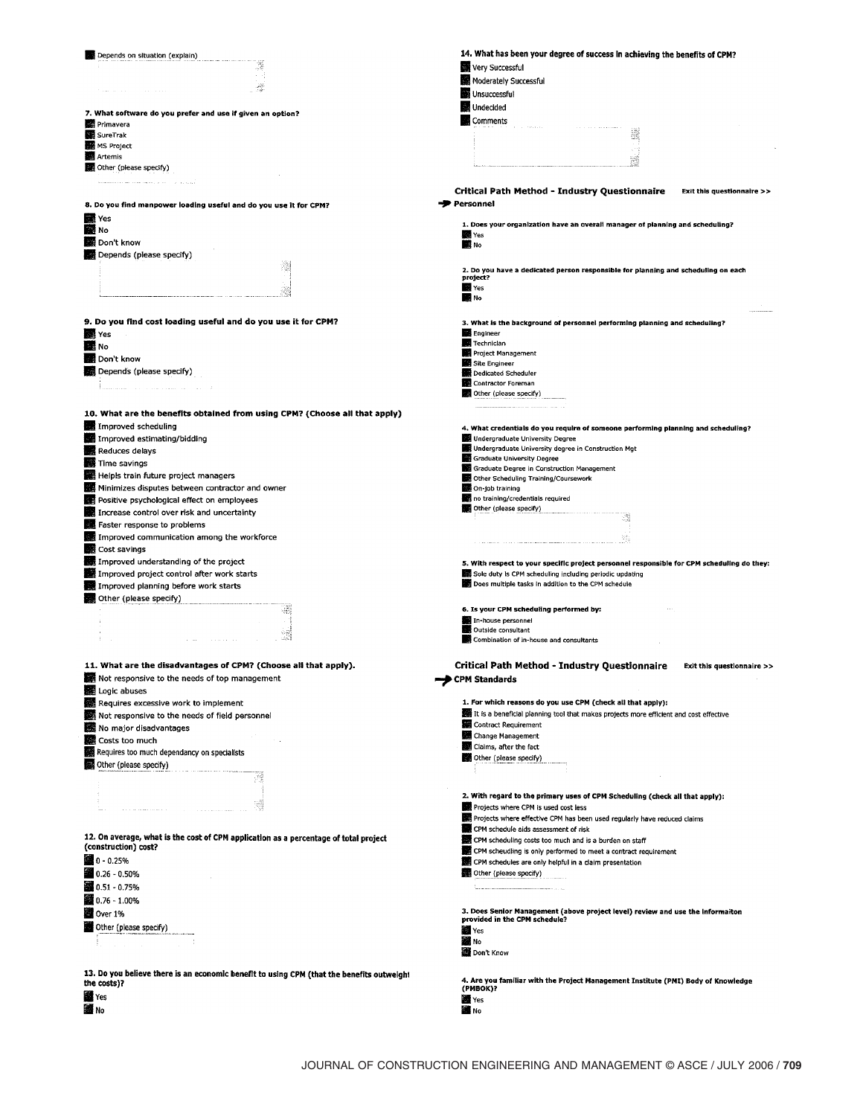| Depends on situation (explain)                                                            | 14. What has been your degree of success in achieving the benefits of CPM?                    |
|-------------------------------------------------------------------------------------------|-----------------------------------------------------------------------------------------------|
|                                                                                           | Very Successful                                                                               |
|                                                                                           | Moderately Successful                                                                         |
|                                                                                           |                                                                                               |
|                                                                                           | Unsuccessful                                                                                  |
| 7. What software do you prefer and use if given an option?                                | Undecided                                                                                     |
| <b>图 Primavera</b>                                                                        | Comments                                                                                      |
| SureTrak                                                                                  |                                                                                               |
| <b>MS Project</b>                                                                         |                                                                                               |
| Artemis                                                                                   |                                                                                               |
| Other (please specify)                                                                    |                                                                                               |
|                                                                                           |                                                                                               |
| المستحقق والمتهم المعادية المعادية والمتحدث                                               | <b>Critical Path Method - Industry Questionnaire</b><br>Exit this questionnaire >>            |
|                                                                                           |                                                                                               |
| 8. Do you find manpower loading useful and do you use it for CPM?                         | <b>Personnel</b>                                                                              |
| <b>Res</b> Yes                                                                            |                                                                                               |
| No.                                                                                       | 1. Does your organization have an overall manager of planning and scheduling?<br>Yes          |
| Don't know                                                                                | <b>NO</b> No                                                                                  |
| Depends (please specify)                                                                  |                                                                                               |
|                                                                                           |                                                                                               |
|                                                                                           | 2. Do you have a dedicated person responsible for planning and scheduling on each<br>project? |
|                                                                                           | <b>N</b> Yes                                                                                  |
|                                                                                           | <b>MA</b> No                                                                                  |
|                                                                                           |                                                                                               |
| 9. Do you find cost loading useful and do you use it for CPM?                             |                                                                                               |
|                                                                                           | 3. What is the background of personnel performing planning and scheduling?                    |
| <b>Kill</b> Yes                                                                           | Engineer<br>Technician                                                                        |
| <b>BRI</b> No                                                                             | Project Management                                                                            |
| Don't know                                                                                | Site Engineer                                                                                 |
| Depends (please specify)                                                                  | Dedicated Scheduler                                                                           |
|                                                                                           | Contractor Foreman                                                                            |
|                                                                                           | Other (please specify)                                                                        |
|                                                                                           |                                                                                               |
| 10. What are the benefits obtained from using CPM? (Choose all that apply)                |                                                                                               |
| Improved scheduling                                                                       | 4. What credentials do you require of someone performing planning and scheduling?             |
| Improved estimating/bidding                                                               | Undergraduate University Degree                                                               |
| Reduces delays                                                                            | <b>S</b> Undergraduate University degree in Construction Mgt                                  |
|                                                                                           | Graduate University Degree                                                                    |
| Time savings                                                                              | Graduate Degree in Construction Management                                                    |
| Helpis train future project managers                                                      | Other Scheduling Training/Coursework                                                          |
| Minimizes disputes between contractor and owner                                           | On-job training                                                                               |
| Positive psychological effect on employees                                                | no training/credentials required                                                              |
| Increase control over risk and uncertainty                                                | Other (please specify)                                                                        |
| Faster response to problems                                                               |                                                                                               |
| Improved communication among the workforce                                                |                                                                                               |
|                                                                                           |                                                                                               |
| Cost savings                                                                              |                                                                                               |
|                                                                                           | 5. With respect to your specific project personnel responsible for CPM scheduling do they:    |
| Improved understanding of the project                                                     |                                                                                               |
| Improved project control after work starts                                                | Sole duty is CPM scheduling including periodic updating                                       |
| Improved planning before work starts                                                      | Does multiple tasks in addition to the CPM schedule                                           |
| Other (please specify)                                                                    |                                                                                               |
|                                                                                           | 6. Is your CPM scheduling performed by:                                                       |
|                                                                                           | In-house personnel                                                                            |
|                                                                                           | Outside consultant                                                                            |
|                                                                                           | Combination of in-house and consultants                                                       |
|                                                                                           |                                                                                               |
| 11. What are the disadvantages of CPM? (Choose all that apply).                           |                                                                                               |
|                                                                                           | Critical Path Method - Industry Questionnaire<br>Exit this questionnaire >>                   |
| Not responsive to the needs of top management                                             | <b>CPM Standards</b>                                                                          |
| Logic abuses                                                                              |                                                                                               |
| Requires excessive work to implement                                                      | 1. For which reasons do you use CPM (check all that apply):                                   |
| Not responsive to the needs of field personnel                                            | It is a beneficial planning tool that makes projects more efficient and cost effective        |
| No major disadvantages                                                                    | Contract Requirement                                                                          |
| Costs too much                                                                            | Change Management                                                                             |
| Requires too much dependancy on specialists                                               | Claims, after the fact                                                                        |
|                                                                                           | Other (please specify)                                                                        |
| Other (please specify)                                                                    |                                                                                               |
|                                                                                           |                                                                                               |
|                                                                                           | 2. With regard to the primary uses of CPM Scheduling (check all that apply):                  |
|                                                                                           | Projects where CPM is used cost less                                                          |
|                                                                                           | Projects where effective CPM has been used regularly have reduced claims                      |
|                                                                                           | CPM schedule aids assessment of risk                                                          |
| 12. On average, what is the cost of CPM application as a percentage of total project      | CPM scheduling costs too much and is a burden on staff                                        |
| (construction) cost?                                                                      | CPM scheudling is only performed to meet a contract requirement                               |
| ■ 0 - 0.25%                                                                               | CPM schedules are only helpful in a claim presentation                                        |
| $0.26 - 0.50%$                                                                            | Other (please specify)                                                                        |
|                                                                                           |                                                                                               |
| 28 0.51 - 0.75%                                                                           |                                                                                               |
| 38 0.76 - 1.00%                                                                           |                                                                                               |
| Over 1%                                                                                   | 3. Does Senior Management (above project level) review and use the Informaiton                |
| Other (please specify)                                                                    | provided in the CPM schedule?                                                                 |
|                                                                                           | <b>N</b> Yes                                                                                  |
|                                                                                           | <b>NO</b> No                                                                                  |
|                                                                                           | Don't Know                                                                                    |
|                                                                                           |                                                                                               |
| 13. Do you believe there is an economic benefit to using CPM (that the benefits outweight | 4. Are you familiar with the Project Management Institute (PMI) Body of Knowledge             |
| the costs)?                                                                               | (PMBOK)?                                                                                      |
| <b>Second</b> Yes                                                                         | Yes                                                                                           |
| ■No                                                                                       | <b>NO</b> No                                                                                  |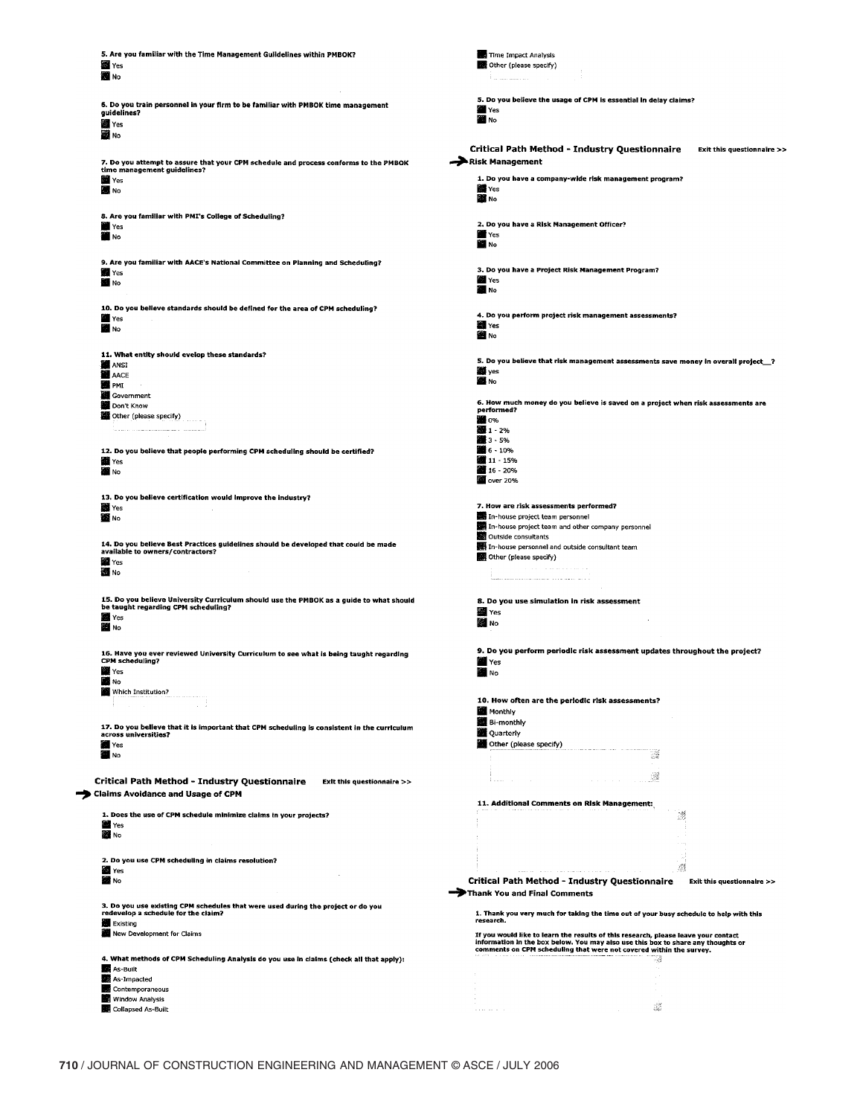| 5. Are you familiar with the Time Management Guildelines within PMBOK?                                                         | Time Impact Analysis                                                                                                                                                   |
|--------------------------------------------------------------------------------------------------------------------------------|------------------------------------------------------------------------------------------------------------------------------------------------------------------------|
| <b>Yes</b>                                                                                                                     | Other (please specify)                                                                                                                                                 |
| <b>EN</b> No                                                                                                                   | Paramanan at                                                                                                                                                           |
|                                                                                                                                |                                                                                                                                                                        |
|                                                                                                                                | 5. Do you believe the usage of CPM is essential in delay claims?                                                                                                       |
| 6. Do you train personnel in your firm to be familiar with PMBOK time management                                               | Yes                                                                                                                                                                    |
| guidelines?                                                                                                                    | Mo <sub>No</sub>                                                                                                                                                       |
| ■ Yes                                                                                                                          |                                                                                                                                                                        |
| 圖 No                                                                                                                           |                                                                                                                                                                        |
|                                                                                                                                | Critical Path Method - Industry Questionnaire                                                                                                                          |
|                                                                                                                                | Exit this questionnaire >>                                                                                                                                             |
| 7. Do you attempt to assure that your CPM schedule and process conforms to the PMBOK                                           | Risk Management                                                                                                                                                        |
| time management guidelines?                                                                                                    |                                                                                                                                                                        |
| <b>Yes</b>                                                                                                                     | 1. Do you have a company-wide risk management program?                                                                                                                 |
| <b>B</b> No                                                                                                                    | Yes                                                                                                                                                                    |
|                                                                                                                                | <b>B</b> No                                                                                                                                                            |
|                                                                                                                                |                                                                                                                                                                        |
| 8. Are you familiar with PMI's College of Scheduling?                                                                          |                                                                                                                                                                        |
| <b>T</b> Yes                                                                                                                   | 2. Do you have a Risk Management Officer?                                                                                                                              |
| <b>THE NO</b>                                                                                                                  | Yes                                                                                                                                                                    |
|                                                                                                                                | E No                                                                                                                                                                   |
|                                                                                                                                |                                                                                                                                                                        |
| 9. Are you familiar with AACE's National Committee on Planning and Scheduling?                                                 | 3. Do you have a Project Risk Management Program?                                                                                                                      |
| Yes                                                                                                                            | Yes                                                                                                                                                                    |
| <b>NO</b> No                                                                                                                   |                                                                                                                                                                        |
|                                                                                                                                | <b>No</b> No                                                                                                                                                           |
| 10. Do you believe standards should be defined for the area of CPM scheduling?                                                 |                                                                                                                                                                        |
| Yes                                                                                                                            | 4. Do you perform project risk management assessments?                                                                                                                 |
|                                                                                                                                | <b>Yes</b>                                                                                                                                                             |
| <b>NO</b> No                                                                                                                   | 圖 No                                                                                                                                                                   |
|                                                                                                                                |                                                                                                                                                                        |
|                                                                                                                                |                                                                                                                                                                        |
| 11. What entity should evelop these standards?                                                                                 | 5. Do you believe that risk management assessments save money in overall project_?                                                                                     |
| <b>B</b> ANSI                                                                                                                  | ∰ yes                                                                                                                                                                  |
| <b>N</b> AACE                                                                                                                  | <b>NO</b> No                                                                                                                                                           |
| <b>DE PMI</b>                                                                                                                  |                                                                                                                                                                        |
| Government                                                                                                                     |                                                                                                                                                                        |
| Don't Know                                                                                                                     | 6. How much money do you believe is saved on a project when risk assessments are                                                                                       |
| Other (please specify)                                                                                                         | performed?                                                                                                                                                             |
|                                                                                                                                | ■ 0%                                                                                                                                                                   |
|                                                                                                                                | ■1-2%                                                                                                                                                                  |
|                                                                                                                                | ■ 3 - 5%                                                                                                                                                               |
| 12. Do you believe that people performing CPM scheduling should be certified?                                                  | 6 - 10%                                                                                                                                                                |
| <b>To Yes</b>                                                                                                                  | 11 - 15%                                                                                                                                                               |
| <b>NO</b> No                                                                                                                   | 16 - 20%                                                                                                                                                               |
|                                                                                                                                | over 20%                                                                                                                                                               |
|                                                                                                                                |                                                                                                                                                                        |
| 13. Do you believe certification would improve the industry?                                                                   |                                                                                                                                                                        |
| 幽 Yes                                                                                                                          | 7. How are risk assessments performed?                                                                                                                                 |
| <b>NO</b> No                                                                                                                   | In-house project team personnel                                                                                                                                        |
|                                                                                                                                | In-house project team and other company personnel                                                                                                                      |
|                                                                                                                                | Outside consultants                                                                                                                                                    |
| 14. Do you believe Best Practices guidelines should be developed that could be made                                            | In-house personnel and outside consultant team                                                                                                                         |
| available to owners/contractors?                                                                                               | Other (please specify)                                                                                                                                                 |
| Yes                                                                                                                            | a construction and an account of a                                                                                                                                     |
| <b>NO</b> No                                                                                                                   |                                                                                                                                                                        |
|                                                                                                                                |                                                                                                                                                                        |
|                                                                                                                                |                                                                                                                                                                        |
| 15. Do you believe University Curriculum should use the PMBOK as a guide to what should<br>be taught regarding CPM scheduling? | 8. Do you use simulation in risk assessment                                                                                                                            |
| <b>Second</b> Yes                                                                                                              | <b>SH</b> Yes                                                                                                                                                          |
|                                                                                                                                | 圖 No                                                                                                                                                                   |
| <b>NO</b> No                                                                                                                   |                                                                                                                                                                        |
|                                                                                                                                |                                                                                                                                                                        |
| 16. Have you ever reviewed University Curriculum to see what is being taught regarding                                         | 9. Do you perform periodic risk assessment updates throughout the project?                                                                                             |
| CPM scheduling?                                                                                                                | <b>N</b> Yes                                                                                                                                                           |
| <b>NE</b> Yes                                                                                                                  | <b>NO</b> No                                                                                                                                                           |
| <b>NO</b>                                                                                                                      |                                                                                                                                                                        |
| Which Institution?                                                                                                             |                                                                                                                                                                        |
|                                                                                                                                | 10. How often are the periodic risk assessments?                                                                                                                       |
|                                                                                                                                | <b>M</b> Monthly                                                                                                                                                       |
|                                                                                                                                |                                                                                                                                                                        |
| 17. Do you believe that it is important that CPM scheduling is consistent in the curriculum                                    | Bi-monthly                                                                                                                                                             |
| across universities?                                                                                                           | Quarterly                                                                                                                                                              |
| <b>Yes</b>                                                                                                                     | Other (please specify)                                                                                                                                                 |
| E No                                                                                                                           | ¥                                                                                                                                                                      |
|                                                                                                                                |                                                                                                                                                                        |
|                                                                                                                                |                                                                                                                                                                        |
| Critical Path Method - Industry Questionnaire<br>Exit this questionnaire >>                                                    | 躚                                                                                                                                                                      |
| Claims Avoidance and Usage of CPM                                                                                              |                                                                                                                                                                        |
|                                                                                                                                | 11. Additional Comments on Risk Management:                                                                                                                            |
|                                                                                                                                |                                                                                                                                                                        |
| 1. Does the use of CPM schedule minimize claims in your projects?                                                              | 졌                                                                                                                                                                      |
| <b>SEE</b> Yes                                                                                                                 |                                                                                                                                                                        |
| 图 No                                                                                                                           |                                                                                                                                                                        |
|                                                                                                                                |                                                                                                                                                                        |
| 2. Do you use CPM scheduling in claims resolution?                                                                             |                                                                                                                                                                        |
| <b>SE Yes</b>                                                                                                                  | đ                                                                                                                                                                      |
| <b>BEE</b> No                                                                                                                  |                                                                                                                                                                        |
|                                                                                                                                | <b>Critical Path Method - Industry Questionnaire</b><br>Exit this questionnaire >>                                                                                     |
|                                                                                                                                | Thank You and Final Comments                                                                                                                                           |
| 3. Do you use existing CPM schedules that were used during the project or do you                                               |                                                                                                                                                                        |
| redevelop a schedule for the claim?                                                                                            | 1. Thank you very much for taking the time out of your busy schedule to help with this                                                                                 |
| Existing                                                                                                                       | research.                                                                                                                                                              |
| New Development for Claims                                                                                                     |                                                                                                                                                                        |
|                                                                                                                                | If you would like to learn the results of this research, please leave your contact<br>information in the box below. You may also use this box to share any thoughts or |
|                                                                                                                                | comments on CPM scheduling that were not covered within the survey.                                                                                                    |
| 4. What methods of CPM Scheduling Analysis do you use in claims (check all that apply):                                        | -a                                                                                                                                                                     |
| As-Built                                                                                                                       | $\sigma_{\rm in}$                                                                                                                                                      |
| As-Impacted                                                                                                                    |                                                                                                                                                                        |
|                                                                                                                                | $\sim$                                                                                                                                                                 |
|                                                                                                                                |                                                                                                                                                                        |
| Contemporaneous                                                                                                                |                                                                                                                                                                        |
| <b>Window Analysis</b><br>Collapsed As-Built                                                                                   | 13<br>and a series                                                                                                                                                     |